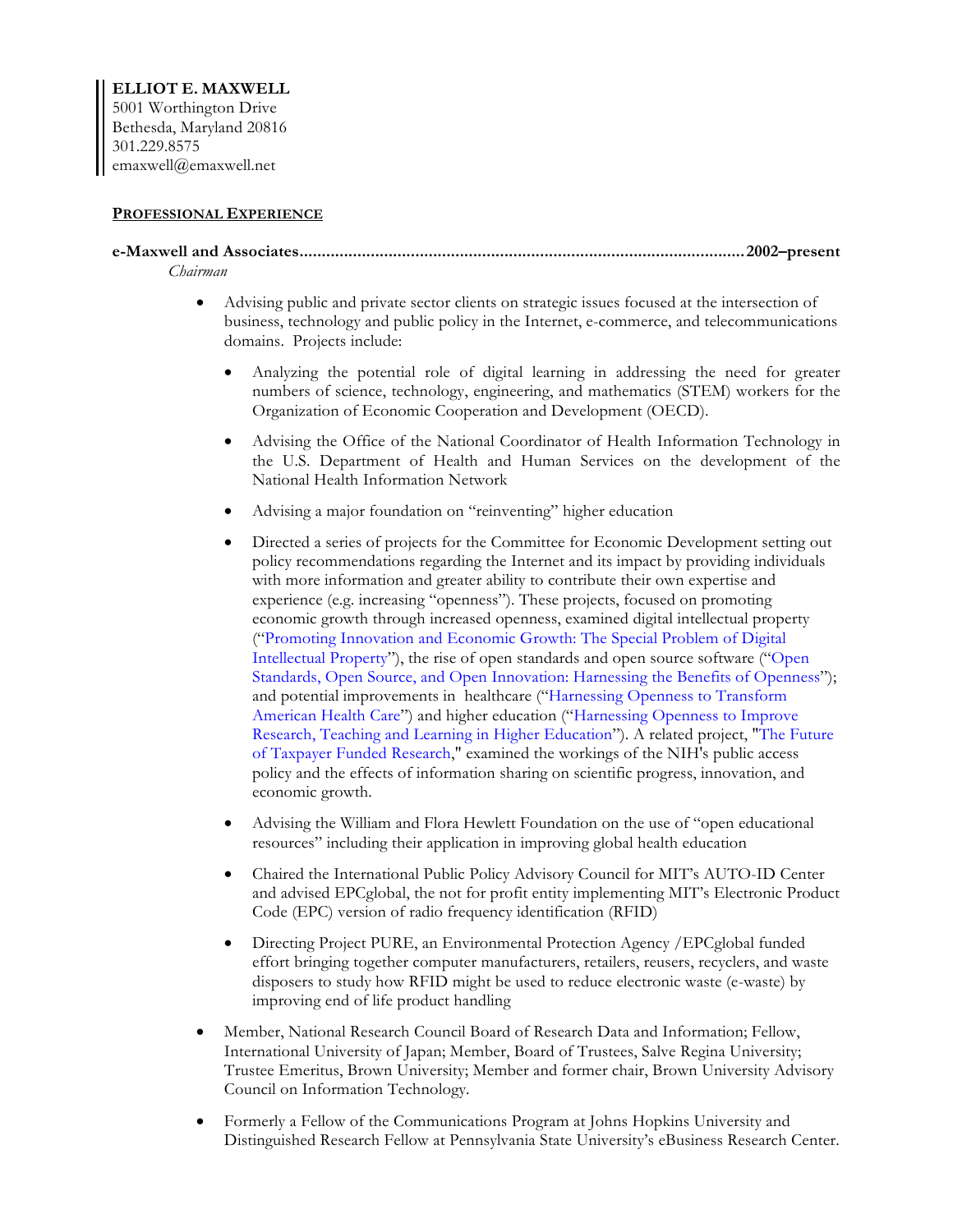#### **PROFESSIONAL EXPERIENCE**

#### **e-Maxwell and Associates....................................................................................................2002–present** *Chairman*

- Advising public and private sector clients on strategic issues focused at the intersection of business, technology and public policy in the Internet, e-commerce, and telecommunications domains. Projects include:
	- Analyzing the potential role of digital learning in addressing the need for greater numbers of science, technology, engineering, and mathematics (STEM) workers for the Organization of Economic Cooperation and Development (OECD).
	- Advising the Office of the National Coordinator of Health Information Technology in the U.S. Department of Health and Human Services on the development of the National Health Information Network
	- Advising a major foundation on "reinventing" higher education
	- Directed a series of projects for the Committee for Economic Development setting out policy recommendations regarding the Internet and its impact by providing individuals with more information and greater ability to contribute their own expertise and experience (e.g. increasing "openness"). These projects, focused on promoting economic growth through increased openness, examined digital intellectual property ("Promoting Innovation and Economic Growth: The Special Problem of Digital Intellectual Property"), the rise of open standards and open source software ("Open Standards, Open Source, and Open Innovation: Harnessing the Benefits of Openness"); and potential improvements in healthcare ("Harnessing Openness to Transform American Health Care") and higher education ("Harnessing Openness to Improve Research, Teaching and Learning in Higher Education"). A related project, "The Future of Taxpayer Funded Research," examined the workings of the NIH's public access policy and the effects of information sharing on scientific progress, innovation, and economic growth.
	- Advising the William and Flora Hewlett Foundation on the use of "open educational resources" including their application in improving global health education
	- Chaired the International Public Policy Advisory Council for MIT's AUTO-ID Center and advised EPCglobal, the not for profit entity implementing MIT's Electronic Product Code (EPC) version of radio frequency identification (RFID)
	- Directing Project PURE, an Environmental Protection Agency / EPCglobal funded effort bringing together computer manufacturers, retailers, reusers, recyclers, and waste disposers to study how RFID might be used to reduce electronic waste (e-waste) by improving end of life product handling
- Member, National Research Council Board of Research Data and Information; Fellow, International University of Japan; Member, Board of Trustees, Salve Regina University; Trustee Emeritus, Brown University; Member and former chair, Brown University Advisory Council on Information Technology.
- Formerly a Fellow of the Communications Program at Johns Hopkins University and Distinguished Research Fellow at Pennsylvania State University's eBusiness Research Center.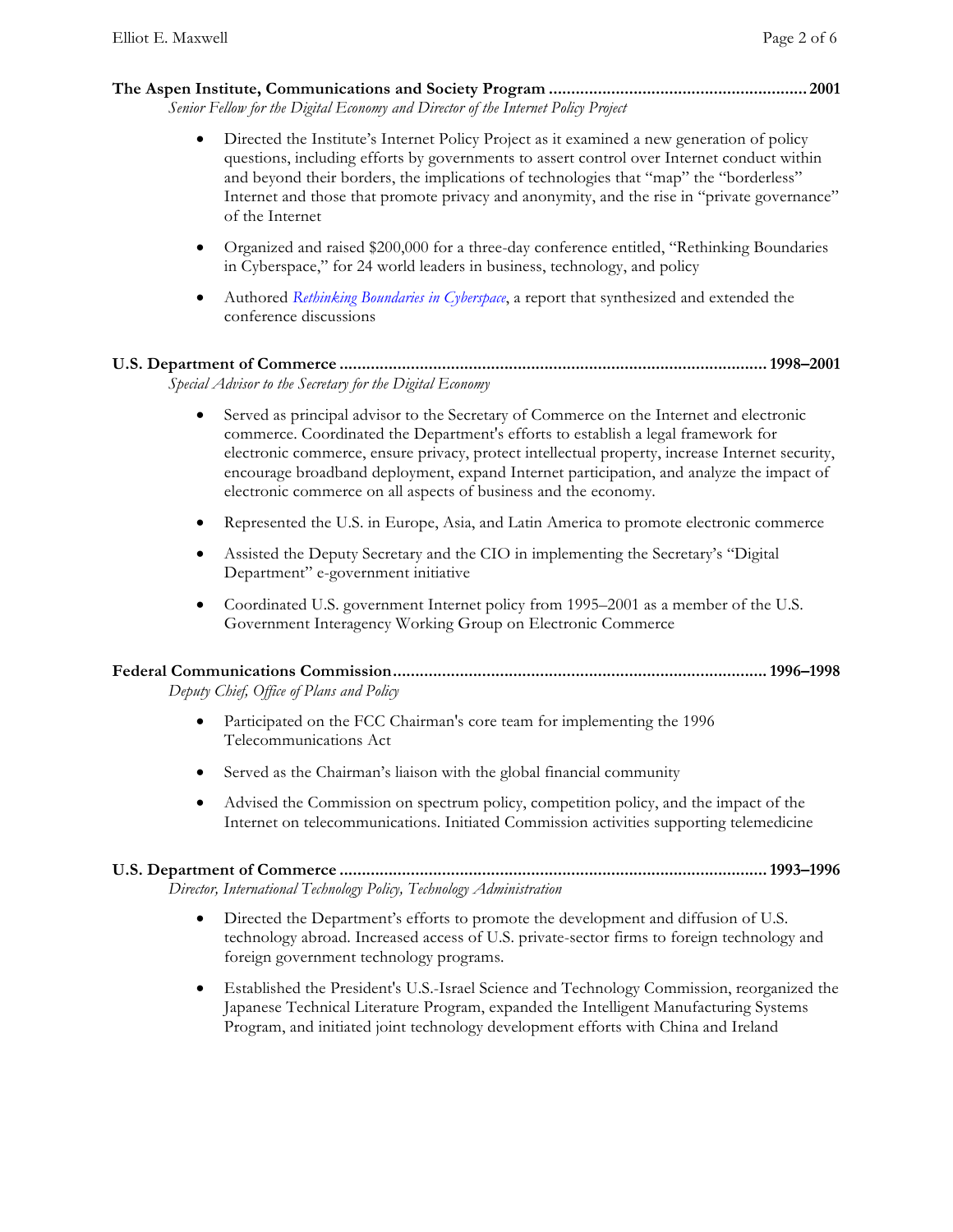## **The Aspen Institute, Communications and Society Program .......................................................... 2001**

*Senior Fellow for the Digital Economy and Director of the Internet Policy Project*

- Directed the Institute's Internet Policy Project as it examined a new generation of policy questions, including efforts by governments to assert control over Internet conduct within and beyond their borders, the implications of technologies that "map" the "borderless" Internet and those that promote privacy and anonymity, and the rise in "private governance" of the Internet
- Organized and raised \$200,000 for a three-day conference entitled, "Rethinking Boundaries in Cyberspace," for 24 world leaders in business, technology, and policy
- Authored *Rethinking Boundaries in Cyberspace*, a report that synthesized and extended the conference discussions

#### **U.S. Department of Commerce ................................................................................................1998–2001** *Special Advisor to the Secretary for the Digital Economy*

- Served as principal advisor to the Secretary of Commerce on the Internet and electronic commerce. Coordinated the Department's efforts to establish a legal framework for electronic commerce, ensure privacy, protect intellectual property, increase Internet security, encourage broadband deployment, expand Internet participation, and analyze the impact of electronic commerce on all aspects of business and the economy.
- Represented the U.S. in Europe, Asia, and Latin America to promote electronic commerce
- Assisted the Deputy Secretary and the CIO in implementing the Secretary's "Digital" Department" e-government initiative
- Coordinated U.S. government Internet policy from 1995–2001 as a member of the U.S. Government Interagency Working Group on Electronic Commerce

| Deputy Chief, Office of Plans and Policy |  |
|------------------------------------------|--|

- Participated on the FCC Chairman's core team for implementing the 1996 Telecommunications Act
- Served as the Chairman's liaison with the global financial community
- Advised the Commission on spectrum policy, competition policy, and the impact of the Internet on telecommunications. Initiated Commission activities supporting telemedicine

# **U.S. Department of Commerce ................................................................................................1993–1996**

*Director, International Technology Policy, Technology Administration*

- Directed the Department's efforts to promote the development and diffusion of U.S. technology abroad. Increased access of U.S. private-sector firms to foreign technology and foreign government technology programs.
- Established the President's U.S.-Israel Science and Technology Commission, reorganized the Japanese Technical Literature Program, expanded the Intelligent Manufacturing Systems Program, and initiated joint technology development efforts with China and Ireland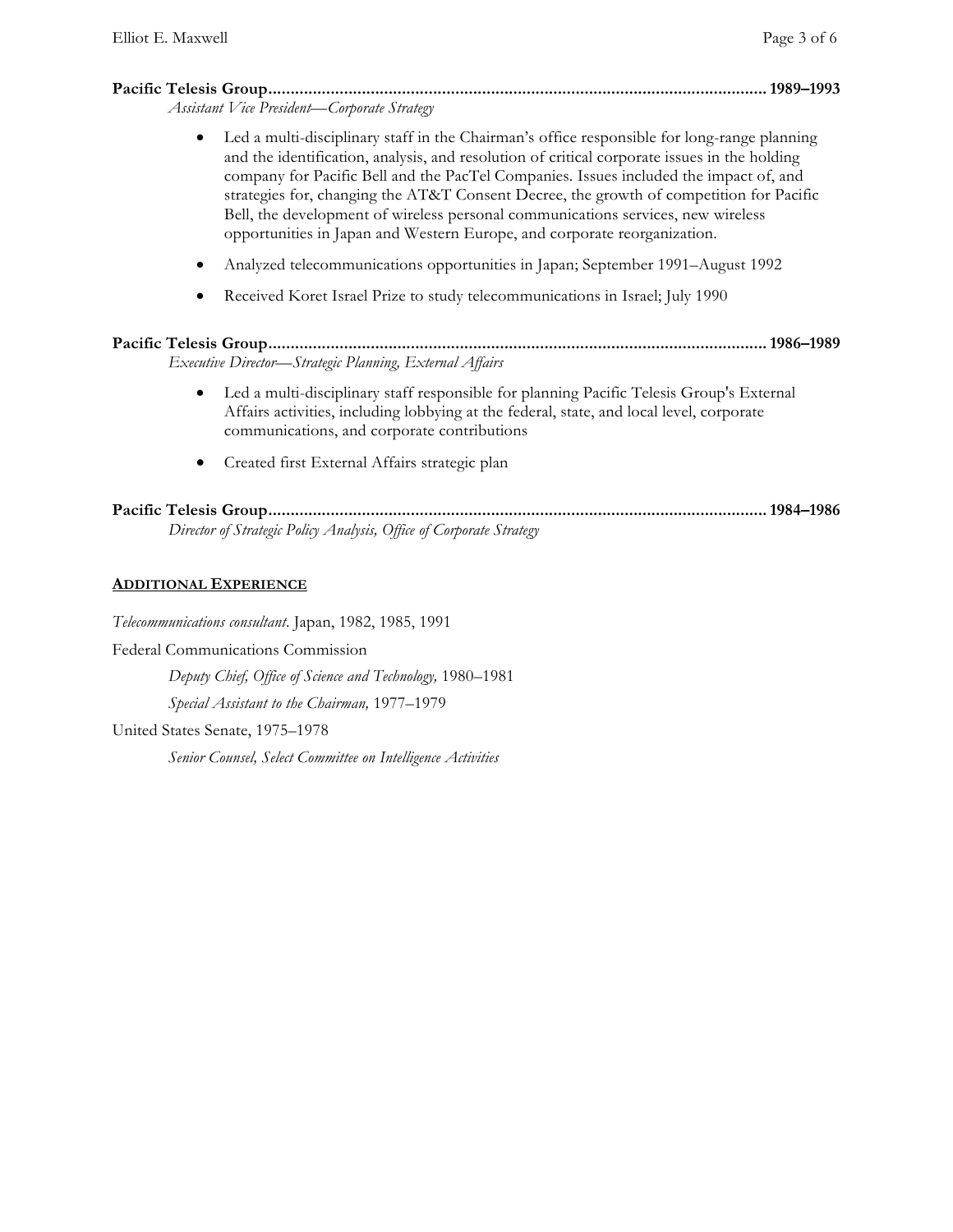# **Pacific Telesis Group................................................................................................................1989–1993**

*Assistant Vice President—Corporate Strategy*

- Led a multi-disciplinary staff in the Chairman's office responsible for long-range planning and the identification, analysis, and resolution of critical corporate issues in the holding company for Pacific Bell and the PacTel Companies. Issues included the impact of, and strategies for, changing the AT&T Consent Decree, the growth of competition for Pacific Bell, the development of wireless personal communications services, new wireless opportunities in Japan and Western Europe, and corporate reorganization.
- Analyzed telecommunications opportunities in Japan; September 1991–August 1992
- Received Koret Israel Prize to study telecommunications in Israel; July 1990

| Executive Director—Strategic Planning, External Affairs |  |
|---------------------------------------------------------|--|

- Led a multi-disciplinary staff responsible for planning Pacific Telesis Group's External Affairs activities, including lobbying at the federal, state, and local level, corporate communications, and corporate contributions
- Created first External Affairs strategic plan

## **Pacific Telesis Group................................................................................................................1984–1986** *Director of Strategic Policy Analysis, Office of Corporate Strategy*

## **ADDITIONAL EXPERIENCE**

*Telecommunications consultant*. Japan, 1982, 1985, 1991

Federal Communications Commission

*Deputy Chief, Office of Science and Technology,* 1980–1981

*Special Assistant to the Chairman,* 1977–1979

United States Senate, 1975–1978

*Senior Counsel, Select Committee on Intelligence Activities*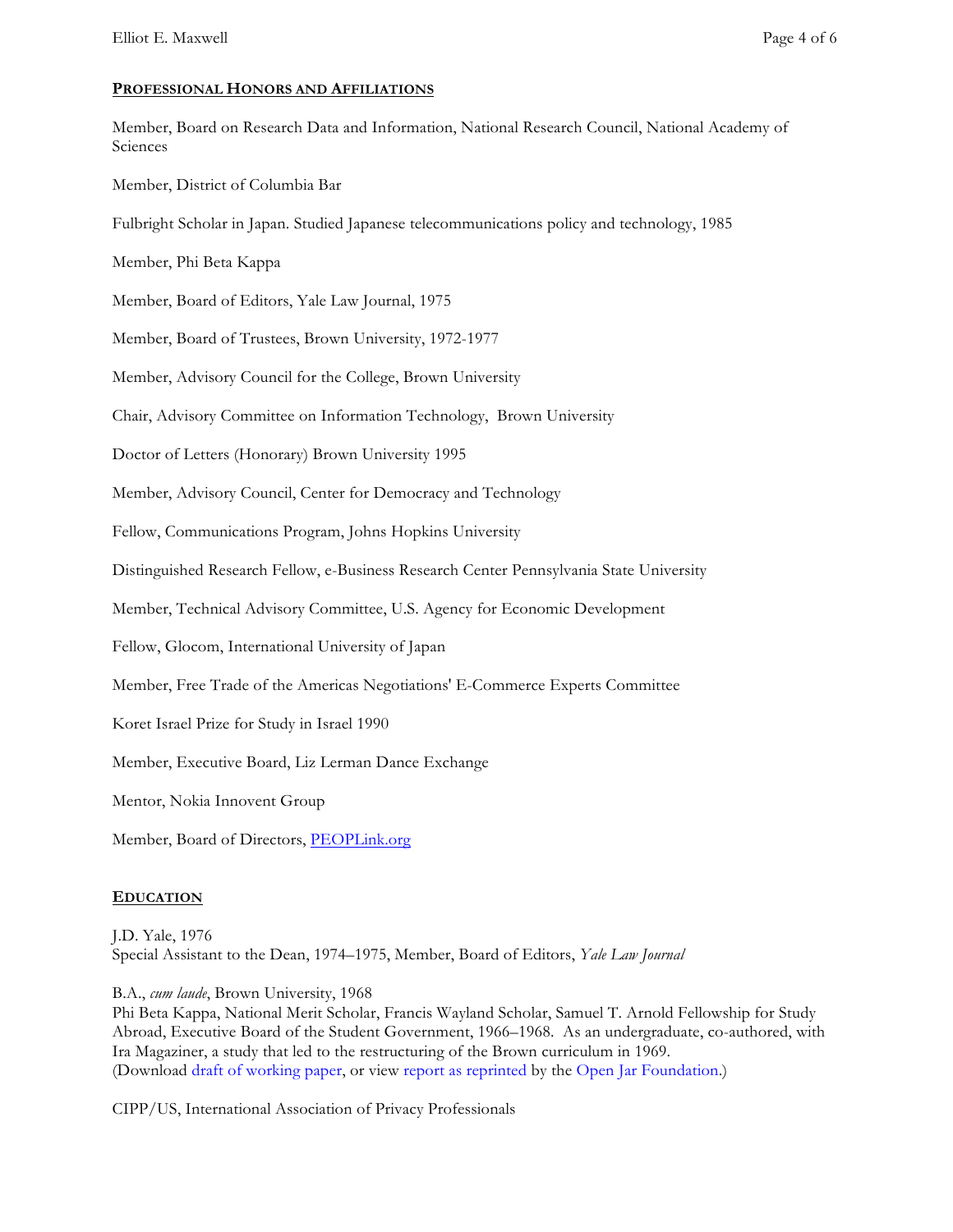#### **PROFESSIONAL HONORS AND AFFILIATIONS**

Member, Board on Research Data and Information, National Research Council, National Academy of Sciences

Member, District of Columbia Bar

Fulbright Scholar in Japan. Studied Japanese telecommunications policy and technology, 1985

Member, Phi Beta Kappa

Member, Board of Editors, Yale Law Journal, 1975

Member, Board of Trustees, Brown University, 1972-1977

Member, Advisory Council for the College, Brown University

Chair, Advisory Committee on Information Technology, Brown University

Doctor of Letters (Honorary) Brown University 1995

Member, Advisory Council, Center for Democracy and Technology

Fellow, Communications Program, Johns Hopkins University

Distinguished Research Fellow, e-Business Research Center Pennsylvania State University

Member, Technical Advisory Committee, U.S. Agency for Economic Development

Fellow, Glocom, International University of Japan

Member, Free Trade of the Americas Negotiations' E-Commerce Experts Committee

Koret Israel Prize for Study in Israel 1990

Member, Executive Board, Liz Lerman Dance Exchange

Mentor, Nokia Innovent Group

Member, Board of Directors, PEOPLink.org

#### **EDUCATION**

J.D. Yale, 1976 Special Assistant to the Dean, 1974–1975, Member, Board of Editors, *Yale Law Journal*

B.A., *cum laude*, Brown University, 1968

Phi Beta Kappa, National Merit Scholar, Francis Wayland Scholar, Samuel T. Arnold Fellowship for Study Abroad, Executive Board of the Student Government, 1966–1968. As an undergraduate, co-authored, with Ira Magaziner, a study that led to the restructuring of the Brown curriculum in 1969. (Download draft of working paper, or view report as reprinted by the Open Jar Foundation.)

CIPP/US, International Association of Privacy Professionals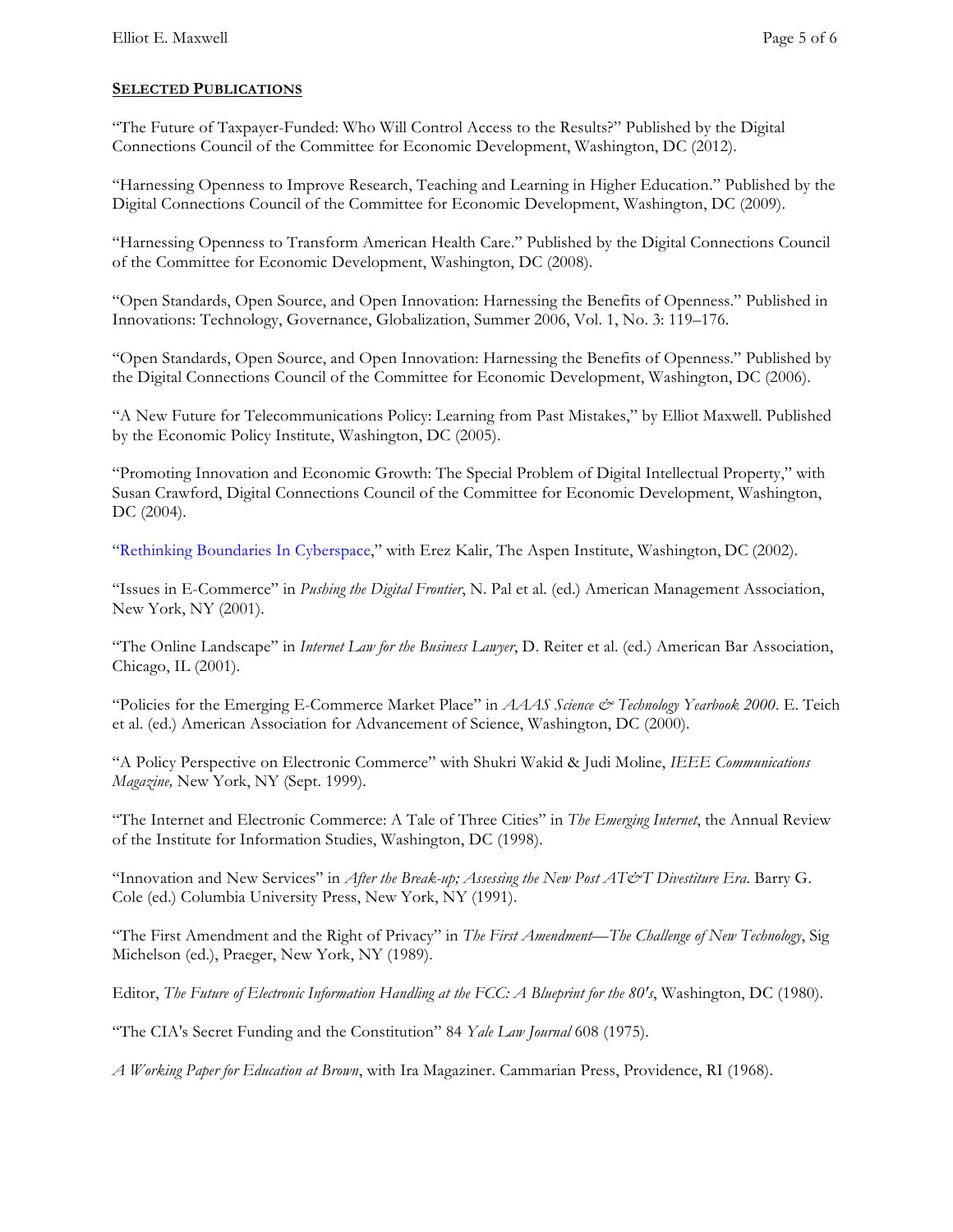## **SELECTED PUBLICATIONS**

"The Future of Taxpayer-Funded: Who Will Control Access to the Results?" Published by the Digital Connections Council of the Committee for Economic Development, Washington, DC (2012).

"Harnessing Openness to Improve Research, Teaching and Learning in Higher Education." Published by the Digital Connections Council of the Committee for Economic Development, Washington, DC (2009).

"Harnessing Openness to Transform American Health Care." Published by the Digital Connections Council of the Committee for Economic Development, Washington, DC (2008).

"Open Standards, Open Source, and Open Innovation: Harnessing the Benefits of Openness." Published in Innovations: Technology, Governance, Globalization, Summer 2006, Vol. 1, No. 3: 119–176.

"Open Standards, Open Source, and Open Innovation: Harnessing the Benefits of Openness." Published by the Digital Connections Council of the Committee for Economic Development, Washington, DC (2006).

"A New Future for Telecommunications Policy: Learning from Past Mistakes," by Elliot Maxwell. Published by the Economic Policy Institute, Washington, DC (2005).

"Promoting Innovation and Economic Growth: The Special Problem of Digital Intellectual Property," with Susan Crawford, Digital Connections Council of the Committee for Economic Development, Washington, DC (2004).

"Rethinking Boundaries In Cyberspace," with Erez Kalir, The Aspen Institute, Washington, DC (2002).

"Issues in E-Commerce" in *Pushing the Digital Frontier*, N. Pal et al. (ed.) American Management Association, New York, NY (2001).

"The Online Landscape" in *Internet Law for the Business Lawyer*, D. Reiter et al. (ed.) American Bar Association, Chicago, IL (2001).

"Policies for the Emerging E-Commerce Market Place" in *AAAS Science & Technology Yearbook 2000*. E. Teich et al. (ed.) American Association for Advancement of Science, Washington, DC (2000).

"A Policy Perspective on Electronic Commerce" with Shukri Wakid & Judi Moline, *IEEE Communications Magazine,* New York, NY (Sept. 1999).

"The Internet and Electronic Commerce: A Tale of Three Cities" in *The Emerging Internet*, the Annual Review of the Institute for Information Studies, Washington, DC (1998).

"Innovation and New Services" in *After the Break-up; Assessing the New Post AT&T Divestiture Era*. Barry G. Cole (ed.) Columbia University Press, New York, NY (1991).

"The First Amendment and the Right of Privacy" in *The First Amendment—The Challenge of New Technology*, Sig Michelson (ed.), Praeger, New York, NY (1989).

Editor, *The Future of Electronic Information Handling at the FCC: A Blueprint for the 80's*, Washington, DC (1980).

"The CIA's Secret Funding and the Constitution" 84 *Yale Law Journal* 608 (1975).

*A Working Paper for Education at Brown*, with Ira Magaziner. Cammarian Press, Providence, RI (1968).